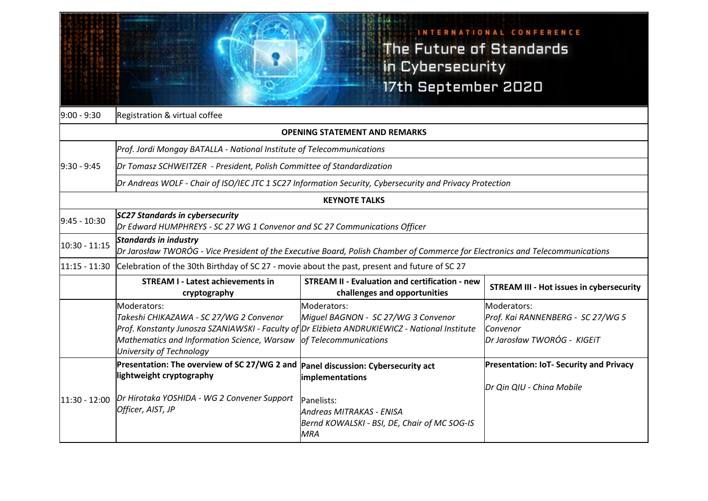## INTERNATIONAL CONFERENCE The Future of Standards in Cybersecurity 17th September 2020

| $9:00 - 9:30$                        | Registration & virtual coffee                                                                                                                                                                                                      |                                                                                                                                                                |                                                                                              |  |  |
|--------------------------------------|------------------------------------------------------------------------------------------------------------------------------------------------------------------------------------------------------------------------------------|----------------------------------------------------------------------------------------------------------------------------------------------------------------|----------------------------------------------------------------------------------------------|--|--|
| <b>OPENING STATEMENT AND REMARKS</b> |                                                                                                                                                                                                                                    |                                                                                                                                                                |                                                                                              |  |  |
|                                      | Prof. Jordi Mongay BATALLA - National Institute of Telecommunications                                                                                                                                                              |                                                                                                                                                                |                                                                                              |  |  |
| $9:30 - 9:45$                        | Dr Tomasz SCHWEITZER - President, Polish Committee of Standardization                                                                                                                                                              |                                                                                                                                                                |                                                                                              |  |  |
|                                      | Dr Andreas WOLF - Chair of ISO/IEC JTC 1 SC27 Information Security, Cybersecurity and Privacy Protection                                                                                                                           |                                                                                                                                                                |                                                                                              |  |  |
| <b>KEYNOTE TALKS</b>                 |                                                                                                                                                                                                                                    |                                                                                                                                                                |                                                                                              |  |  |
| $9:45 - 10:30$                       | <b>SC27 Standards in cybersecurity</b><br>Dr Edward HUMPHREYS - SC 27 WG 1 Convenor and SC 27 Communications Officer                                                                                                               |                                                                                                                                                                |                                                                                              |  |  |
| 10:30 - 11:15                        | <b>Standards in industry</b><br>Dr Jarosław TWORÓG - Vice President of the Executive Board, Polish Chamber of Commerce for Electronics and Telecommunications                                                                      |                                                                                                                                                                |                                                                                              |  |  |
|                                      | $11:15 - 11:30$ Celebration of the 30th Birthday of SC 27 - movie about the past, present and future of SC 27                                                                                                                      |                                                                                                                                                                |                                                                                              |  |  |
|                                      | <b>STREAM I - Latest achievements in</b><br>cryptography                                                                                                                                                                           | <b>STREAM II - Evaluation and certification - new</b><br>challenges and opportunities                                                                          | <b>STREAM III - Hot issues in cybersecurity</b>                                              |  |  |
|                                      | Moderators:<br>Takeshi CHIKAZAWA - SC 27/WG 2 Convenor<br>Prof. Konstanty Junosza SZANIAWSKI - Faculty of Dr Elżbieta ANDRUKIEWICZ - National Institute<br>Mathematics and Information Science, Warsaw<br>University of Technology | Moderators:<br>Miguel BAGNON - SC 27/WG 3 Convenor<br>of Telecommunications                                                                                    | Moderators:<br>Prof. Kai RANNENBERG - SC 27/WG 5<br>lConvenor<br>Dr Jarosław TWORÓG - KIGEIT |  |  |
| $11:30 - 12:00$                      | Presentation: The overview of SC 27/WG 2 and<br>lightweight cryptography<br>Dr Hirotaka YOSHIDA - WG 2 Convener Support<br>Officer, AIST, JP                                                                                       | Panel discussion: Cybersecurity act<br>implementations<br>Panelists:<br>Andreas MITRAKAS - ENISA<br>Bernd KOWALSKI - BSI, DE, Chair of MC SOG-IS<br><b>MRA</b> | <b>Presentation: IoT- Security and Privacy</b><br>Dr Qin QIU - China Mobile                  |  |  |